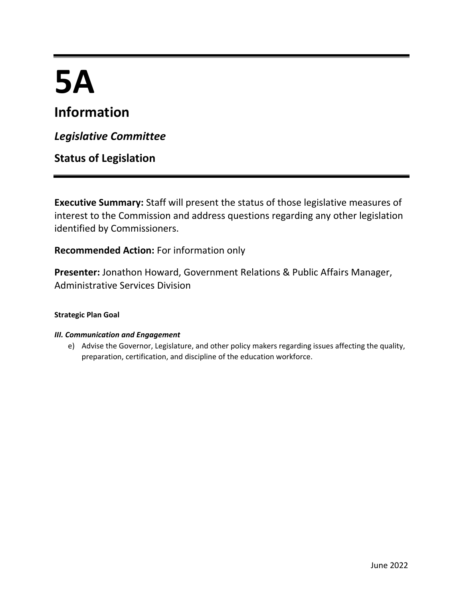# **5A**

## **Information**

*Legislative Committee*

**Status of Legislation**

**Executive Summary:** Staff will present the status of those legislative measures of interest to the Commission and address questions regarding any other legislation identified by Commissioners.

**Recommended Action:** For information only

**Presenter:** Jonathon Howard, Government Relations & Public Affairs Manager, Administrative Services Division

#### **Strategic Plan Goal**

#### *III. Communication and Engagement*

e) Advise the Governor, Legislature, and other policy makers regarding issues affecting the quality, preparation, certification, and discipline of the education workforce.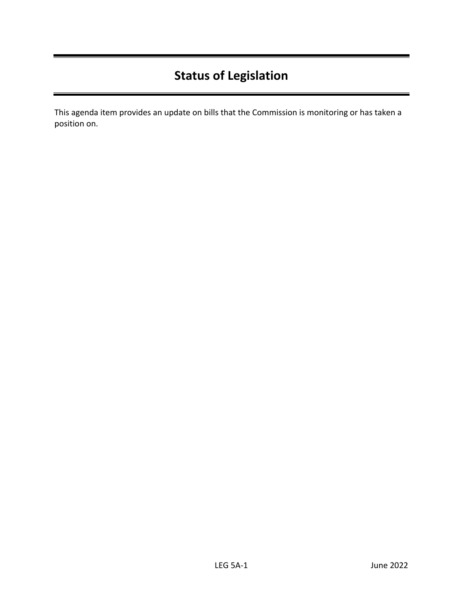## **Status of Legislation**

This agenda item provides an update on bills that the Commission is monitoring or has taken a position on.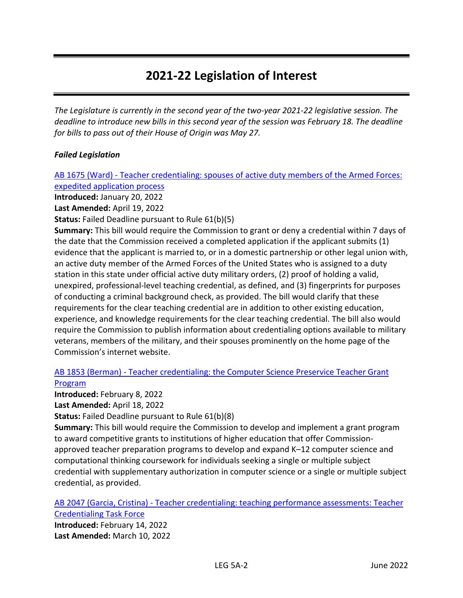### **2021-22 Legislation of Interest**

*The Legislature is currently in the second year of the two-year 2021-22 legislative session. The deadline to introduce new bills in this second year of the session was February 18. The deadline for bills to pass out of their House of Origin was May 27.* 

#### *Failed Legislation*

AB 1675 (Ward) - [Teacher credentialing: spouses of active duty members of the Armed Forces:](https://leginfo.legislature.ca.gov/faces/billNavClient.xhtml?bill_id=202120220AB1675)  [expedited application process](https://leginfo.legislature.ca.gov/faces/billNavClient.xhtml?bill_id=202120220AB1675)

**Introduced:** January 20, 2022

**Last Amended:** April 19, 2022

**Status:** Failed Deadline pursuant to Rule 61(b)(5)

**Summary:** This bill would require the Commission to grant or deny a credential within 7 days of the date that the Commission received a completed application if the applicant submits (1) evidence that the applicant is married to, or in a domestic partnership or other legal union with, an active duty member of the Armed Forces of the United States who is assigned to a duty station in this state under official active duty military orders, (2) proof of holding a valid, unexpired, professional-level teaching credential, as defined, and (3) fingerprints for purposes of conducting a criminal background check, as provided. The bill would clarify that these requirements for the clear teaching credential are in addition to other existing education, experience, and knowledge requirements for the clear teaching credential. The bill also would require the Commission to publish information about credentialing options available to military veterans, members of the military, and their spouses prominently on the home page of the Commission's internet website.

#### AB 1853 (Berman) - [Teacher credentialing: the Computer Science Preservice Teacher Grant](https://leginfo.legislature.ca.gov/faces/billNavClient.xhtml?bill_id=202120220AB1853)  [Program](https://leginfo.legislature.ca.gov/faces/billNavClient.xhtml?bill_id=202120220AB1853)

**Introduced:** February 8, 2022

**Last Amended:** April 18, 2022

**Status:** Failed Deadline pursuant to Rule 61(b)(8)

**Summary:** This bill would require the Commission to develop and implement a grant program to award competitive grants to institutions of higher education that offer Commissionapproved teacher preparation programs to develop and expand K–12 computer science and computational thinking coursework for individuals seeking a single or multiple subject credential with supplementary authorization in computer science or a single or multiple subject credential, as provided.

AB 2047 (Garcia, Cristina) - [Teacher credentialing: teaching performance assessments: Teacher](https://leginfo.legislature.ca.gov/faces/billNavClient.xhtml?bill_id=202120220AB2047)  [Credentialing Task Force](https://leginfo.legislature.ca.gov/faces/billNavClient.xhtml?bill_id=202120220AB2047)

**Introduced:** February 14, 2022 **Last Amended:** March 10, 2022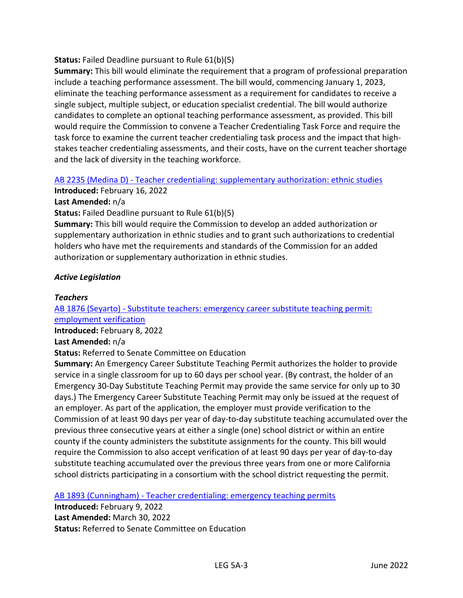#### **Status:** Failed Deadline pursuant to Rule 61(b)(5)

**Summary:** This bill would eliminate the requirement that a program of professional preparation include a teaching performance assessment. The bill would, commencing January 1, 2023, eliminate the teaching performance assessment as a requirement for candidates to receive a single subject, multiple subject, or education specialist credential. The bill would authorize candidates to complete an optional teaching performance assessment, as provided. This bill would require the Commission to convene a Teacher Credentialing Task Force and require the task force to examine the current teacher credentialing task process and the impact that highstakes teacher credentialing assessments, and their costs, have on the current teacher shortage and the lack of diversity in the teaching workforce.

#### AB 2235 (Medina D) - [Teacher credentialing: supplementary authorization: ethnic studies](https://leginfo.legislature.ca.gov/faces/billNavClient.xhtml?bill_id=202120220AB2235)

**Introduced:** February 16, 2022

#### **Last Amended:** n/a

**Status:** Failed Deadline pursuant to Rule 61(b)(5)

**Summary:** This bill would require the Commission to develop an added authorization or supplementary authorization in ethnic studies and to grant such authorizations to credential holders who have met the requirements and standards of the Commission for an added authorization or supplementary authorization in ethnic studies.

#### *Active Legislation*

#### *Teachers*

#### AB 1876 (Seyarto) - [Substitute teachers: emergency career substitute teaching permit:](https://leginfo.legislature.ca.gov/faces/billNavClient.xhtml?bill_id=202120220AB1876)  [employment verification](https://leginfo.legislature.ca.gov/faces/billNavClient.xhtml?bill_id=202120220AB1876)

**Introduced:** February 8, 2022

#### **Last Amended:** n/a

**Status:** Referred to Senate Committee on Education

**Summary:** An Emergency Career Substitute Teaching Permit authorizes the holder to provide service in a single classroom for up to 60 days per school year. (By contrast, the holder of an Emergency 30-Day Substitute Teaching Permit may provide the same service for only up to 30 days.) The Emergency Career Substitute Teaching Permit may only be issued at the request of an employer. As part of the application, the employer must provide verification to the Commission of at least 90 days per year of day-to-day substitute teaching accumulated over the previous three consecutive years at either a single (one) school district or within an entire county if the county administers the substitute assignments for the county. This bill would require the Commission to also accept verification of at least 90 days per year of day-to-day substitute teaching accumulated over the previous three years from one or more California school districts participating in a consortium with the school district requesting the permit.

AB 1893 (Cunningham) - [Teacher credentialing: emergency teaching permits](https://leginfo.legislature.ca.gov/faces/billNavClient.xhtml?bill_id=202120220AB1893)

**Introduced:** February 9, 2022 **Last Amended:** March 30, 2022 **Status:** Referred to Senate Committee on Education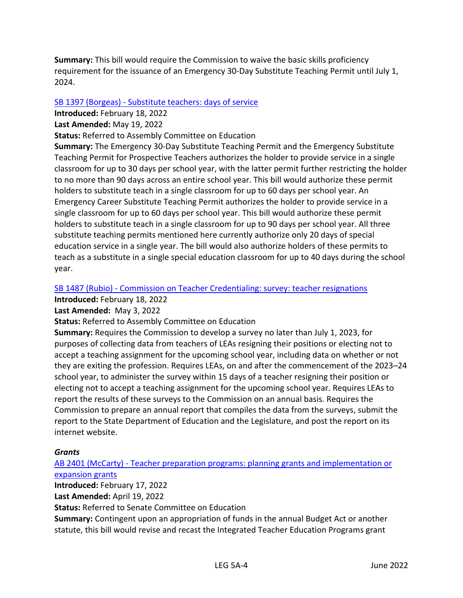**Summary:** This bill would require the Commission to waive the basic skills proficiency requirement for the issuance of an Emergency 30-Day Substitute Teaching Permit until July 1, 2024.

#### SB 1397 (Borgeas) - [Substitute teachers: days of service](https://leginfo.legislature.ca.gov/faces/billNavClient.xhtml?bill_id=202120220SB1397)

**Introduced:** February 18, 2022

#### **Last Amended:** May 19, 2022

**Status:** Referred to Assembly Committee on Education

**Summary:** The Emergency 30-Day Substitute Teaching Permit and the Emergency Substitute Teaching Permit for Prospective Teachers authorizes the holder to provide service in a single classroom for up to 30 days per school year, with the latter permit further restricting the holder to no more than 90 days across an entire school year. This bill would authorize these permit holders to substitute teach in a single classroom for up to 60 days per school year. An Emergency Career Substitute Teaching Permit authorizes the holder to provide service in a single classroom for up to 60 days per school year. This bill would authorize these permit holders to substitute teach in a single classroom for up to 90 days per school year. All three substitute teaching permits mentioned here currently authorize only 20 days of special education service in a single year. The bill would also authorize holders of these permits to teach as a substitute in a single special education classroom for up to 40 days during the school year.

#### SB 1487 (Rubio) - [Commission on Teacher Credentialing: survey: teacher resignations](https://leginfo.legislature.ca.gov/faces/billTextClient.xhtml?bill_id=202120220SB1487)

**Introduced:** February 18, 2022

**Last Amended:** May 3, 2022

**Status:** Referred to Assembly Committee on Education

**Summary:** Requires the Commission to develop a survey no later than July 1, 2023, for purposes of collecting data from teachers of LEAs resigning their positions or electing not to accept a teaching assignment for the upcoming school year, including data on whether or not they are exiting the profession. Requires LEAs, on and after the commencement of the 2023–24 school year, to administer the survey within 15 days of a teacher resigning their position or electing not to accept a teaching assignment for the upcoming school year. Requires LEAs to report the results of these surveys to the Commission on an annual basis. Requires the Commission to prepare an annual report that compiles the data from the surveys, submit the report to the State Department of Education and the Legislature, and post the report on its internet website.

#### *Grants*

AB 2401 (McCarty) - [Teacher preparation programs: planning grants and implementation or](https://leginfo.legislature.ca.gov/faces/billNavClient.xhtml?bill_id=202120220AB2401)  [expansion grants](https://leginfo.legislature.ca.gov/faces/billNavClient.xhtml?bill_id=202120220AB2401)

**Introduced:** February 17, 2022

**Last Amended:** April 19, 2022

**Status:** Referred to Senate Committee on Education

**Summary:** Contingent upon an appropriation of funds in the annual Budget Act or another statute, this bill would revise and recast the Integrated Teacher Education Programs grant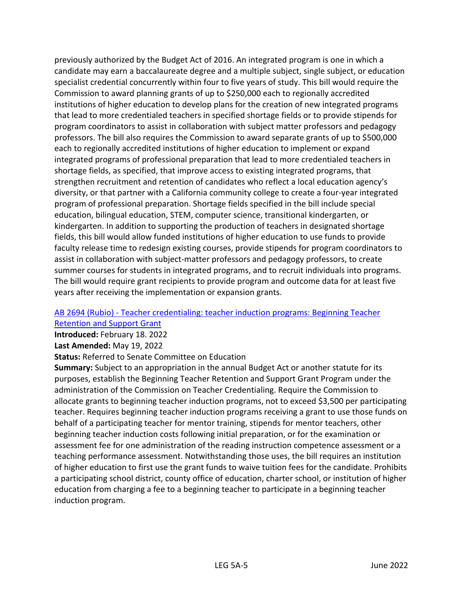previously authorized by the Budget Act of 2016. An integrated program is one in which a candidate may earn a baccalaureate degree and a multiple subject, single subject, or education specialist credential concurrently within four to five years of study. This bill would require the Commission to award planning grants of up to \$250,000 each to regionally accredited institutions of higher education to develop plans for the creation of new integrated programs that lead to more credentialed teachers in specified shortage fields or to provide stipends for program coordinators to assist in collaboration with subject matter professors and pedagogy professors. The bill also requires the Commission to award separate grants of up to \$500,000 each to regionally accredited institutions of higher education to implement or expand integrated programs of professional preparation that lead to more credentialed teachers in shortage fields, as specified, that improve access to existing integrated programs, that strengthen recruitment and retention of candidates who reflect a local education agency's diversity, or that partner with a California community college to create a four-year integrated program of professional preparation. Shortage fields specified in the bill include special education, bilingual education, STEM, computer science, transitional kindergarten, or kindergarten. In addition to supporting the production of teachers in designated shortage fields, this bill would allow funded institutions of higher education to use funds to provide faculty release time to redesign existing courses, provide stipends for program coordinators to assist in collaboration with subject-matter professors and pedagogy professors, to create summer courses for students in integrated programs, and to recruit individuals into programs. The bill would require grant recipients to provide program and outcome data for at least five years after receiving the implementation or expansion grants.

#### AB 2694 (Rubio) - [Teacher credentialing: teacher induction programs: Beginning Teacher](https://leginfo.legislature.ca.gov/faces/billNavClient.xhtml?bill_id=202120220AB2694)  [Retention and Support Grant](https://leginfo.legislature.ca.gov/faces/billNavClient.xhtml?bill_id=202120220AB2694)

**Introduced:** February 18. 2022

**Last Amended:** May 19, 2022

**Status:** Referred to Senate Committee on Education

**Summary:** Subject to an appropriation in the annual Budget Act or another statute for its purposes, establish the Beginning Teacher Retention and Support Grant Program under the administration of the Commission on Teacher Credentialing. Require the Commission to allocate grants to beginning teacher induction programs, not to exceed \$3,500 per participating teacher. Requires beginning teacher induction programs receiving a grant to use those funds on behalf of a participating teacher for mentor training, stipends for mentor teachers, other beginning teacher induction costs following initial preparation, or for the examination or assessment fee for one administration of the reading instruction competence assessment or a teaching performance assessment. Notwithstanding those uses, the bill requires an institution of higher education to first use the grant funds to waive tuition fees for the candidate. Prohibits a participating school district, county office of education, charter school, or institution of higher education from charging a fee to a beginning teacher to participate in a beginning teacher induction program.